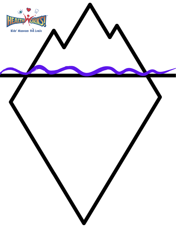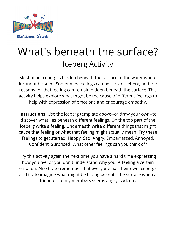

## What's beneath the surface? Iceberg Activity

Most of an iceberg is hidden beneath the surface of the water where it cannot be seen. Sometimes feelings can be like an iceberg, and the reasons for that feeling can remain hidden beneath the surface. This activity helps explore what might be the cause of different feelings to help with expression of emotions and encourage empathy.

**Instructions:** Use the iceberg template above--or draw your own--to discover what lies beneath different feelings. On the top part of the iceberg write a feeling. Underneath write different things that might cause that feeling or what that feeling might actually mean. Try these feelings to get started: Happy, Sad, Angry, Embarrassed, Annoyed, Confident, Surprised. What other feelings can you think of?

Try this activity again the next time you have a hard time expressing how you feel or you don't understand why you're feeling a certain emotion. Also try to remember that everyone has their own icebergs and try to imagine what might be hiding beneath the surface when a friend or family members seems angry, sad, etc.